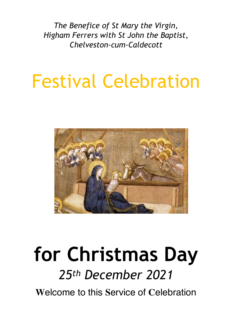*The Benefice of St Mary the Virgin, Higham Ferrers with St John the Baptist, Chelveston-cum-Caldecott*

# Festival Celebration



## **for Christmas Day** *25th December 2021*

**W**elcome to this **S**ervice of **C**elebration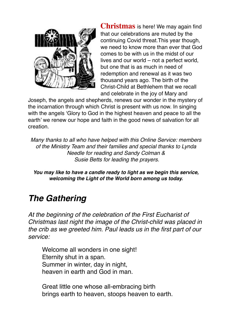

**Christmas** is here! We may again find that our celebrations are muted by the continuing Covid threat.This year though, we need to know more than ever that God comes to be with us in the midst of our lives and our world – not a perfect world, but one that is as much in need of redemption and renewal as it was two thousand years ago. The birth of the Christ-Child at Bethlehem that we recall and celebrate in the joy of Mary and

Joseph, the angels and shepherds, renews our wonder in the mystery of the incarnation through which Christ is present with us now. In singing with the angels 'Glory to God in the highest heaven and peace to all the earth' we renew our hope and faith in the good news of salvation for all creation.

*Many thanks to all who have helped with this Online Service: members of the Ministry Team and their families and special thanks to Lynda Needle for reading and Sandy Colman & Susie Betts for leading the prayers.*

*You may like to have a candle ready to light as we begin this service, welcoming the Light of the World born among us today.*

## *The Gathering*

*At the beginning of the celebration of the First Eucharist of Christmas last night the image of the Christ-child was placed in the crib as we greeted him. Paul leads us in the first part of our service:*

Welcome all wonders in one sight! Eternity shut in a span. Summer in winter, day in night, heaven in earth and God in man.

Great little one whose all-embracing birth brings earth to heaven, stoops heaven to earth.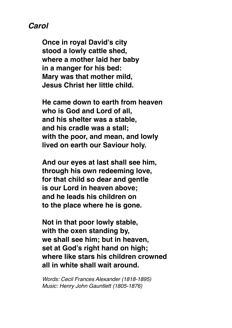## *Carol*

**Once in royal David's city stood a lowly cattle shed, where a mother laid her baby in a manger for his bed: Mary was that mother mild, Jesus Christ her little child.** 

**He came down to earth from heaven who is God and Lord of all, and his shelter was a stable, and his cradle was a stall; with the poor, and mean, and lowly lived on earth our Saviour holy.** 

**And our eyes at last shall see him, through his own redeeming love, for that child so dear and gentle is our Lord in heaven above; and he leads his children on to the place where he is gone.** 

**Not in that poor lowly stable, with the oxen standing by, we shall see him; but in heaven, set at God's right hand on high; where like stars his children crowned all in white shall wait around.**

*Words: Cecil Frances Alexander (1818-1895) Music: Henry John Gauntlett (1805-1876)*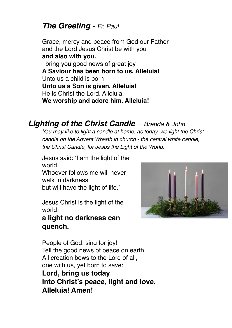## *The Greeting - Fr. Paul*

Grace, mercy and peace from God our Father and the Lord Jesus Christ be with you **and also with you.** I bring you good news of great joy **A Saviour has been born to us. Alleluia!** Unto us a child is born **Unto us a Son is given. Alleluia!** He is Christ the Lord. Alleluia. **We worship and adore him. Alleluia!**

## *Lighting of the Christ Candle – Brenda & John*

*You may like to light a candle at home, as today, we light the Christ candle on the Advent Wreath in church - the central white candle, the Christ Candle, for Jesus the Light of the World:*

Jesus said: 'I am the light of the world.

Whoever follows me will never walk in darkness but will have the light of life.'

Jesus Christ is the light of the world:

#### **a light no darkness can quench.**



People of God: sing for joy! Tell the good news of peace on earth. All creation bows to the Lord of all, one with us, yet born to save: **Lord, bring us today into Christ's peace, light and love.**

#### **Alleluia! Amen!**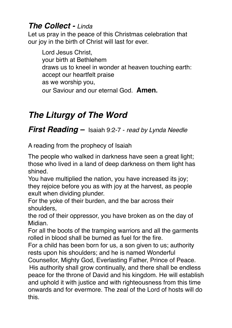## *The Collect - Linda*

Let us pray in the peace of this Christmas celebration that our joy in the birth of Christ will last for ever.

Lord Jesus Christ, your birth at Bethlehem draws us to kneel in wonder at heaven touching earth: accept our heartfelt praise as we worship you, our Saviour and our eternal God. **Amen.**

## *The Liturgy of The Word*

*First Reading –* Isaiah 9:2-7 - *read by Lynda Needle*

A reading from the prophecy of Isaiah

The people who walked in darkness have seen a great light; those who lived in a land of deep darkness on them light has shined.

You have multiplied the nation, you have increased its joy; they rejoice before you as with joy at the harvest, as people exult when dividing plunder.

For the yoke of their burden, and the bar across their shoulders,

the rod of their oppressor, you have broken as on the day of Midian.

For all the boots of the tramping warriors and all the garments rolled in blood shall be burned as fuel for the fire.

For a child has been born for us, a son given to us; authority rests upon his shoulders; and he is named Wonderful

Counsellor, Mighty God, Everlasting Father, Prince of Peace. His authority shall grow continually, and there shall be endless peace for the throne of David and his kingdom. He will establish and uphold it with justice and with righteousness from this time onwards and for evermore. The zeal of the Lord of hosts will do this.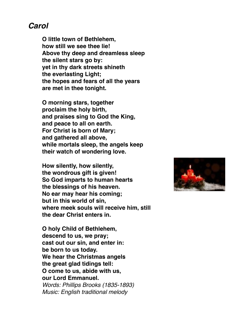## *Carol*

**O little town of Bethlehem, how still we see thee lie! Above thy deep and dreamless sleep the silent stars go by: yet in thy dark streets shineth the everlasting Light; the hopes and fears of all the years are met in thee tonight.**

**O morning stars, together proclaim the holy birth, and praises sing to God the King, and peace to all on earth. For Christ is born of Mary; and gathered all above, while mortals sleep, the angels keep their watch of wondering love.**

**How silently, how silently, the wondrous gift is given! So God imparts to human hearts the blessings of his heaven. No ear may hear his coming; but in this world of sin, where meek souls will receive him, still the dear Christ enters in.**

**O holy Child of Bethlehem, descend to us, we pray; cast out our sin, and enter in: be born to us today. We hear the Christmas angels the great glad tidings tell: O come to us, abide with us, our Lord Emmanuel.** *Words: Phillips Brooks (1835-1893) Music: English traditional melody*

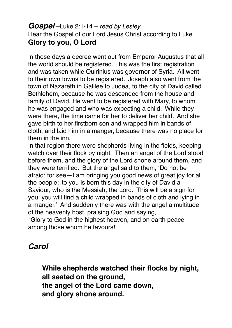#### *Gospel* –Luke 2:1-14 – *read by Lesley* Hear the Gospel of our Lord Jesus Christ according to Luke **Glory to you, O Lord**

In those days a decree went out from Emperor Augustus that all the world should be registered. This was the first registration and was taken while Quirinius was governor of Syria. All went to their own towns to be registered. Joseph also went from the town of Nazareth in Galilee to Judea, to the city of David called Bethlehem, because he was descended from the house and family of David. He went to be registered with Mary, to whom he was engaged and who was expecting a child. While they were there, the time came for her to deliver her child. And she gave birth to her firstborn son and wrapped him in bands of cloth, and laid him in a manger, because there was no place for them in the inn.

In that region there were shepherds living in the fields, keeping watch over their flock by night. Then an angel of the Lord stood before them, and the glory of the Lord shone around them, and they were terrified. But the angel said to them, 'Do not be afraid; for see—I am bringing you good news of great joy for all the people: to you is born this day in the city of David a Saviour, who is the Messiah, the Lord. This will be a sign for you: you will find a child wrapped in bands of cloth and lying in a manger.' And suddenly there was with the angel a multitude of the heavenly host, praising God and saying,

'Glory to God in the highest heaven, and on earth peace among those whom he favours!'

## *Carol*

**While shepherds watched their flocks by night, all seated on the ground, the angel of the Lord came down, and glory shone around.**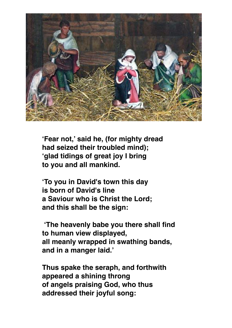

**'Fear not,' said he, (for mighty dread had seized their troubled mind); 'glad tidings of great joy I bring to you and all mankind.**

**'To you in David's town this day is born of David's line a Saviour who is Christ the Lord; and this shall be the sign:**

 **'The heavenly babe you there shall find to human view displayed, all meanly wrapped in swathing bands, and in a manger laid.'**

**Thus spake the seraph, and forthwith appeared a shining throng of angels praising God, who thus addressed their joyful song:**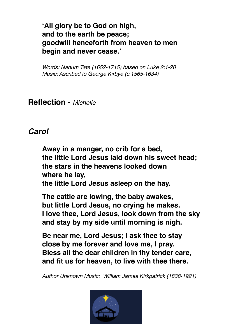#### **'All glory be to God on high, and to the earth be peace; goodwill henceforth from heaven to men begin and never cease.'**

*Words: Nahum Tate (1652-1715) based on Luke 2:1-20 Music: Ascribed to George Kirbye (c.1565-1634)*

**Reflection -** *Michelle*

## *Carol*

**Away in a manger, no crib for a bed, the little Lord Jesus laid down his sweet head; the stars in the heavens looked down where he lay, the little Lord Jesus asleep on the hay.**

**The cattle are lowing, the baby awakes, but little Lord Jesus, no crying he makes. I love thee, Lord Jesus, look down from the sky and stay by my side until morning is nigh.**

**Be near me, Lord Jesus; I ask thee to stay close by me forever and love me, I pray. Bless all the dear children in thy tender care, and fit us for heaven, to live with thee there.**

*Author Unknown Music: William James Kirkpatrick (1838-1921)*

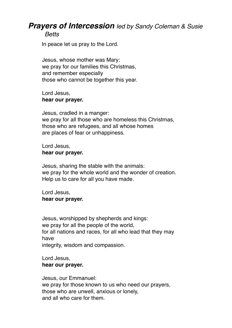## *Prayers of Intercession led by Sandy Coleman & Susie*

#### *Betts*

In peace let us pray to the Lord.

Jesus, whose mother was Mary: we pray for our families this Christmas, and remember especially those who cannot be together this year.

Lord Jesus, **hear our prayer.**

Jesus, cradled in a manger: we pray for all those who are homeless this Christmas, those who are refugees, and all whose homes are places of fear or unhappiness.

Lord Jesus, **hear our prayer.**

Jesus, sharing the stable with the animals: we pray for the whole world and the wonder of creation. Help us to care for all you have made.

Lord Jesus, **hear our prayer.**

Jesus, worshipped by shepherds and kings: we pray for all the people of the world, for all nations and races, for all who lead that they may have integrity, wisdom and compassion.

Lord Jesus, **hear our prayer.**

Jesus, our Emmanuel: we pray for those known to us who need our prayers, those who are unwell, anxious or lonely, and all who care for them.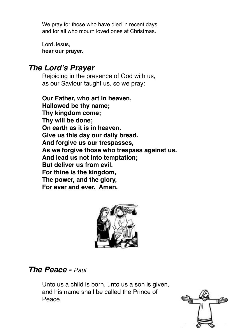We pray for those who have died in recent days and for all who mourn loved ones at Christmas.

Lord Jesus, **hear our prayer.**

## *The Lord's Prayer*

Rejoicing in the presence of God with us, as our Saviour taught us, so we pray:

**Our Father, who art in heaven, Hallowed be thy name; Thy kingdom come; Thy will be done; On earth as it is in heaven. Give us this day our daily bread. And forgive us our trespasses, As we forgive those who trespass against us. And lead us not into temptation; But deliver us from evil. For thine is the kingdom, The power, and the glory, For ever and ever. Amen.**



## *The Peace - Paul*

Unto us a child is born, unto us a son is given, and his name shall be called the Prince of Peace.

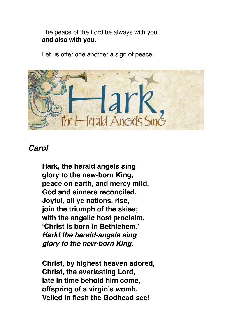The peace of the Lord be always with you **and also with you.**

Let us offer one another a sign of peace.



#### *Carol*

**Hark, the herald angels sing glory to the new-born King, peace on earth, and mercy mild, God and sinners reconciled. Joyful, all ye nations, rise, join the triumph of the skies; with the angelic host proclaim, 'Christ is born in Bethlehem.'** *Hark! the herald-angels sing glory to the new-born King.*

**Christ, by highest heaven adored, Christ, the everlasting Lord, late in time behold him come, offspring of a virgin's womb. Veiled in flesh the Godhead see!**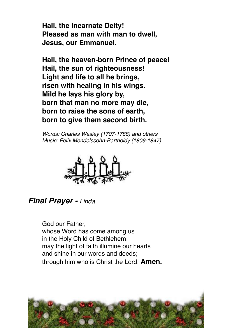**Hail, the incarnate Deity! Pleased as man with man to dwell, Jesus, our Emmanuel.**

**Hail, the heaven-born Prince of peace! Hail, the sun of righteousness! Light and life to all he brings, risen with healing in his wings. Mild he lays his glory by, born that man no more may die, born to raise the sons of earth, born to give them second birth.**

*Words: Charles Wesley (1707-1788) and others Music: Felix Mendelssohn-Bartholdy (1809-1847)*



*Final Prayer - Linda*

God our Father, whose Word has come among us in the Holy Child of Bethlehem: may the light of faith illumine our hearts and shine in our words and deeds; through him who is Christ the Lord. **Amen.**

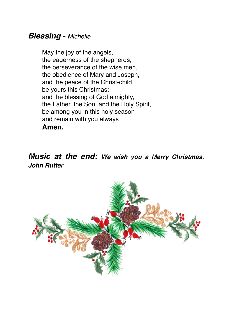#### *Blessing - Michelle*

May the joy of the angels, the eagerness of the shepherds, the perseverance of the wise men, the obedience of Mary and Joseph, and the peace of the Christ-child be yours this Christmas; and the blessing of God almighty, the Father, the Son, and the Holy Spirit, be among you in this holy season and remain with you always **Amen.**

*Music at the end: We wish you a Merry Christmas, John Rutter*